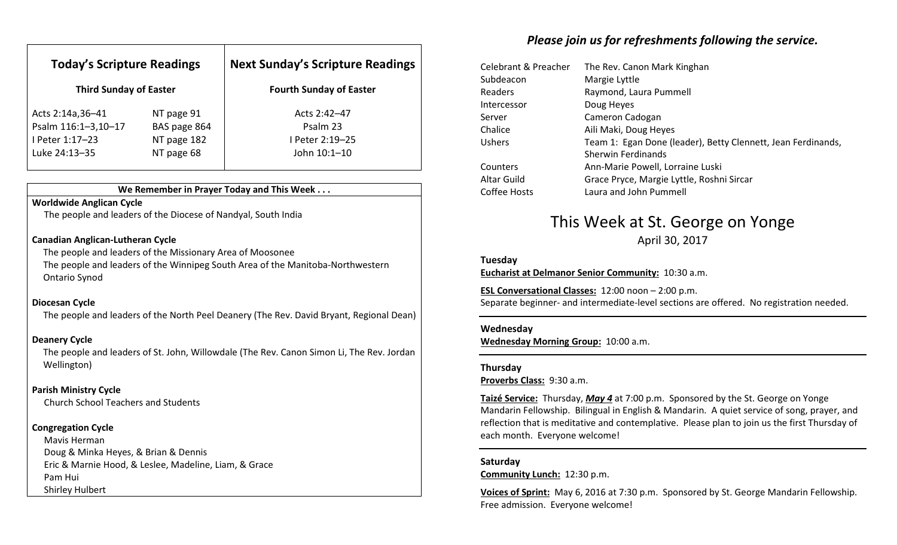| <b>Today's Scripture Readings</b><br><b>Third Sunday of Easter</b> |              | <b>Next Sunday's Scripture Readings</b><br><b>Fourth Sunday of Easter</b> |
|--------------------------------------------------------------------|--------------|---------------------------------------------------------------------------|
|                                                                    |              |                                                                           |
| Psalm 116:1-3,10-17                                                | BAS page 864 | Psalm 23                                                                  |
| I Peter 1:17-23                                                    | NT page 182  | I Peter 2:19-25                                                           |
| Luke 24:13-35                                                      | NT page 68   | John 10:1-10                                                              |

### We Remember in Prayer Today and This Week . . .

#### Worldwide Anglican Cycle

The people and leaders of the Diocese of Nandyal, South India

#### Canadian Anglican-Lutheran Cycle

 The people and leaders of the Missionary Area of Moosonee The people and leaders of the Winnipeg South Area of the Manitoba-Northwestern Ontario Synod

#### Diocesan Cycle

The people and leaders of the North Peel Deanery (The Rev. David Bryant, Regional Dean)

#### Deanery Cycle

The people and leaders of St. John, Willowdale (The Rev. Canon Simon Li, The Rev. Jordan Wellington)

### Parish Ministry Cycle

Church School Teachers and Students

### Congregation Cycle

Mavis Herman Doug & Minka Heyes, & Brian & Dennis Eric & Marnie Hood, & Leslee, Madeline, Liam, & Grace Pam Hui Shirley Hulbert

## Please join us for refreshments following the service.

| Celebrant & Preacher | The Rev. Canon Mark Kinghan                                  |
|----------------------|--------------------------------------------------------------|
| Subdeacon            | Margie Lyttle                                                |
| Readers              | Raymond, Laura Pummell                                       |
| Intercessor          | Doug Heyes                                                   |
| Server               | Cameron Cadogan                                              |
| Chalice              | Aili Maki, Doug Heyes                                        |
| <b>Ushers</b>        | Team 1: Egan Done (leader), Betty Clennett, Jean Ferdinands, |
|                      | <b>Sherwin Ferdinands</b>                                    |
| Counters             | Ann-Marie Powell, Lorraine Luski                             |
| Altar Guild          | Grace Pryce, Margie Lyttle, Roshni Sircar                    |
| Coffee Hosts         | Laura and John Pummell                                       |

# This Week at St. George on Yonge

April 30, 2017

#### Tuesday

Eucharist at Delmanor Senior Community: 10:30 a.m.

ESL Conversational Classes: 12:00 noon – 2:00 p.m. Separate beginner- and intermediate-level sections are offered. No registration needed.

#### Wednesday

Wednesday Morning Group: 10:00 a.m.

#### Thursday

Proverbs Class: 9:30 a.m.

Taizé Service: Thursday, May 4 at 7:00 p.m. Sponsored by the St. George on Yonge Mandarin Fellowship. Bilingual in English & Mandarin. A quiet service of song, prayer, and reflection that is meditative and contemplative. Please plan to join us the first Thursday of each month. Everyone welcome!

### Saturday

Community Lunch: 12:30 p.m.

Voices of Sprint: May 6, 2016 at 7:30 p.m. Sponsored by St. George Mandarin Fellowship. Free admission. Everyone welcome!